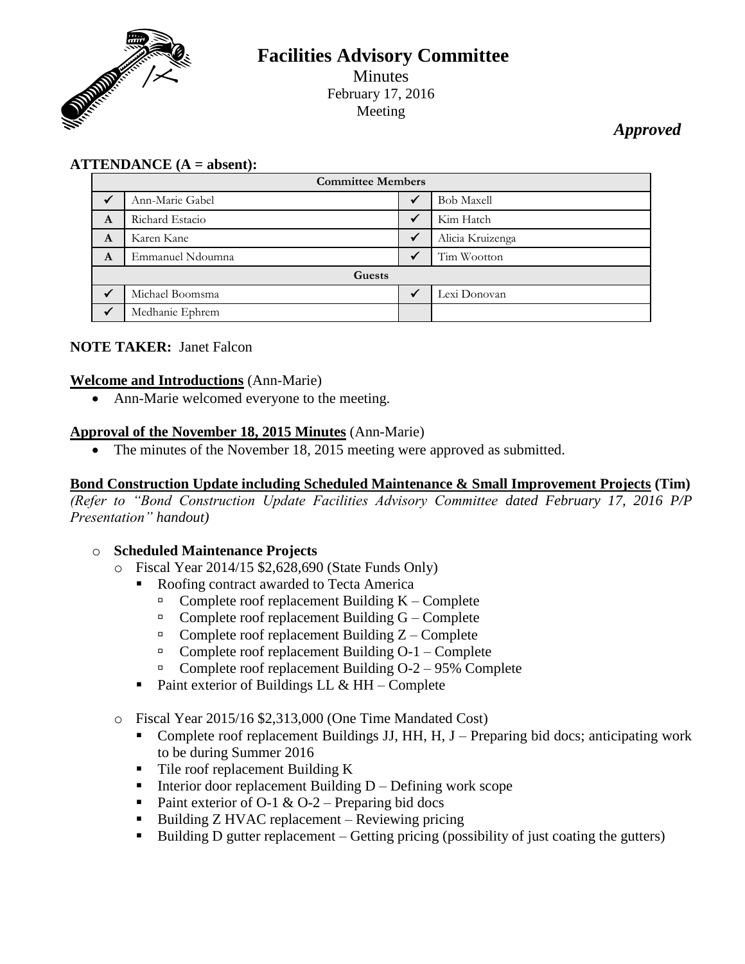

# **Facilities Advisory Committee** Minutes February 17, 2016 Meeting

# *Approved*

## **ATTENDANCE (A = absent):**

| <b>Committee Members</b> |                  |  |                   |
|--------------------------|------------------|--|-------------------|
|                          | Ann-Marie Gabel  |  | <b>Bob Maxell</b> |
| A                        | Richard Estacio  |  | Kim Hatch         |
| A                        | Karen Kane       |  | Alicia Kruizenga  |
| A                        | Emmanuel Ndoumna |  | Tim Wootton       |
| Guests                   |                  |  |                   |
|                          | Michael Boomsma  |  | Lexi Donovan      |
|                          | Medhanie Ephrem  |  |                   |

## **NOTE TAKER:** Janet Falcon

#### **Welcome and Introductions** (Ann-Marie)

• Ann-Marie welcomed everyone to the meeting.

#### **Approval of the November 18, 2015 Minutes** (Ann-Marie)

• The minutes of the November 18, 2015 meeting were approved as submitted.

### **Bond Construction Update including Scheduled Maintenance & Small Improvement Projects (Tim)**

*(Refer to "Bond Construction Update Facilities Advisory Committee dated February 17, 2016 P/P Presentation" handout)*

#### o **Scheduled Maintenance Projects**

- o Fiscal Year 2014/15 \$2,628,690 (State Funds Only)
	- Roofing contract awarded to Tecta America
		- $\Box$  Complete roof replacement Building K Complete
		- $\Box$  Complete roof replacement Building G Complete
		- $\Box$  Complete roof replacement Building Z Complete
		- $\Box$  Complete roof replacement Building O-1 Complete
		- Complete roof replacement Building  $O-2 95\%$  Complete
	- Paint exterior of Buildings LL  $&HH Complete$
- o Fiscal Year 2015/16 \$2,313,000 (One Time Mandated Cost)
	- Complete roof replacement Buildings JJ, HH, H, J Preparing bid docs; anticipating work to be during Summer 2016
	- Tile roof replacement Building K
	- Interior door replacement Building  $D Defining$  work scope
	- Paint exterior of O-1 & O-2 Preparing bid docs
	- Building  $Z$  HVAC replacement Reviewing pricing
	- Building D gutter replacement Getting pricing (possibility of just coating the gutters)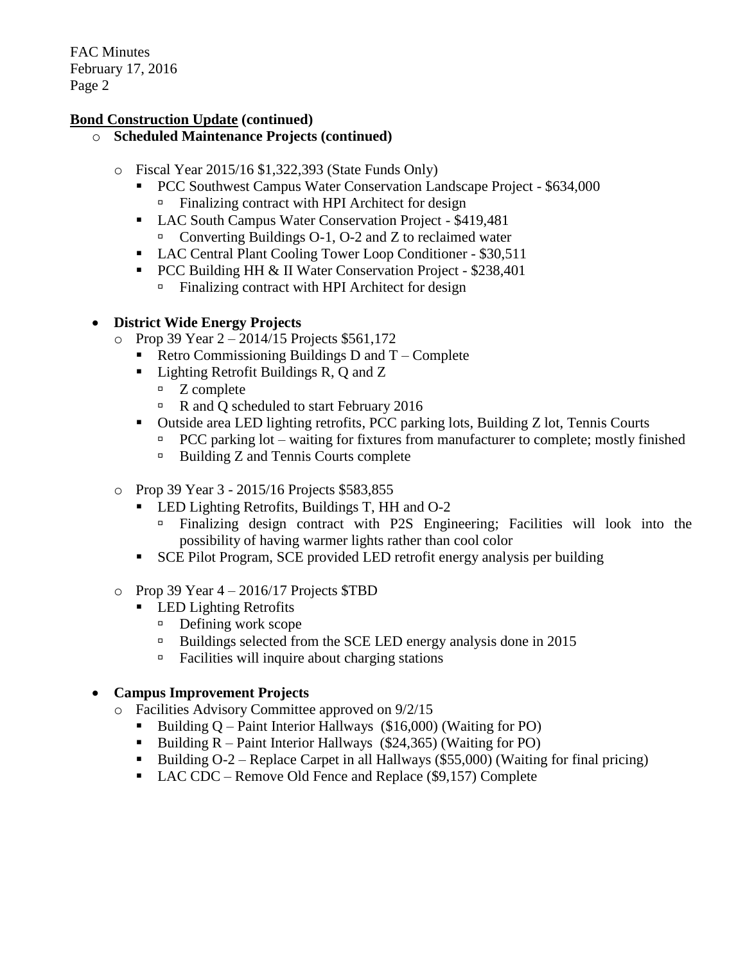### **Bond Construction Update (continued)**

### o **Scheduled Maintenance Projects (continued)**

- o Fiscal Year 2015/16 \$1,322,393 (State Funds Only)
	- PCC Southwest Campus Water Conservation Landscape Project \$634,000  $\Box$  Finalizing contract with HPI Architect for design
	- LAC South Campus Water Conservation Project \$419,481 Converting Buildings O-1, O-2 and Z to reclaimed water
	- LAC Central Plant Cooling Tower Loop Conditioner \$30,511
	- **PCC Building HH & II Water Conservation Project \$238,401** 
		- $\Box$  Finalizing contract with HPI Architect for design

## **District Wide Energy Projects**

- $\degree$  Prop 39 Year 2 2014/15 Projects \$561,172
	- Retro Commissioning Buildings D and  $T -$ Complete
	- Lighting Retrofit Buildings R, Q and Z
		- $Z$  complete
		- R and Q scheduled to start February 2016
	- Outside area LED lighting retrofits, PCC parking lots, Building Z lot, Tennis Courts
		- $PCC$  parking lot waiting for fixtures from manufacturer to complete; mostly finished
		- $\Box$  Building Z and Tennis Courts complete
- o Prop 39 Year 3 2015/16 Projects \$583,855
	- **LED Lighting Retrofits, Buildings T, HH and O-2** 
		- Finalizing design contract with P2S Engineering; Facilities will look into the possibility of having warmer lights rather than cool color
	- SCE Pilot Program, SCE provided LED retrofit energy analysis per building
- $\degree$  Prop 39 Year 4 2016/17 Projects \$TBD
	- **LED Lighting Retrofits** 
		- $\Box$  Defining work scope
		- <sup>n</sup> Buildings selected from the SCE LED energy analysis done in 2015
		- $\Box$  Facilities will inquire about charging stations

## **Campus Improvement Projects**

- o Facilities Advisory Committee approved on 9/2/15
	- Building  $Q$  Paint Interior Hallways (\$16,000) (Waiting for PO)
	- Building  $R$  Paint Interior Hallways (\$24,365) (Waiting for PO)
	- Building  $O-2$  Replace Carpet in all Hallways (\$55,000) (Waiting for final pricing)
	- LAC CDC Remove Old Fence and Replace (\$9,157) Complete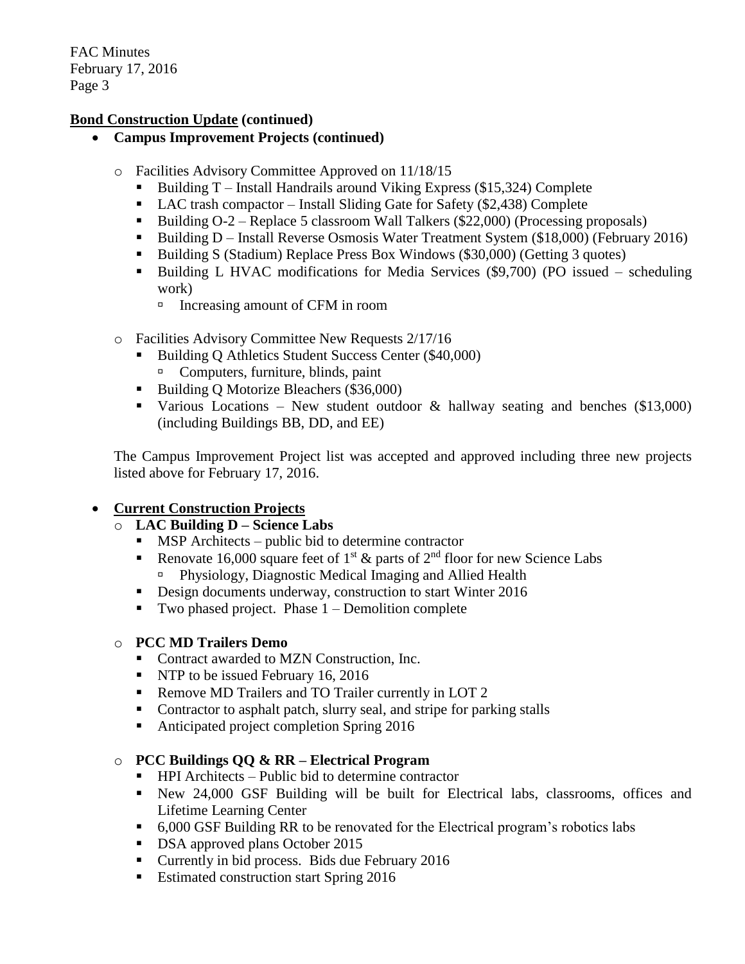## **Bond Construction Update (continued)**

- **Campus Improvement Projects (continued)**
	- o Facilities Advisory Committee Approved on 11/18/15
		- Building  $T$  Install Handrails around Viking Express (\$15,324) Complete
		- $\blacksquare$  LAC trash compactor Install Sliding Gate for Safety (\$2,438) Complete
		- Building  $O-2$  Replace 5 classroom Wall Talkers (\$22,000) (Processing proposals)
		- Building D Install Reverse Osmosis Water Treatment System (\$18,000) (February 2016)
		- Building S (Stadium) Replace Press Box Windows (\$30,000) (Getting 3 quotes)
		- Building L HVAC modifications for Media Services (\$9,700) (PO issued scheduling work)
			- □ Increasing amount of CFM in room
	- o Facilities Advisory Committee New Requests 2/17/16
		- Building Q Athletics Student Success Center (\$40,000) Computers, furniture, blinds, paint
		- Building O Motorize Bleachers (\$36,000)
		- Various Locations New student outdoor  $\&$  hallway seating and benches (\$13,000) (including Buildings BB, DD, and EE)

The Campus Improvement Project list was accepted and approved including three new projects listed above for February 17, 2016.

# **Current Construction Projects**

## o **LAC Building D – Science Labs**

- MSP Architects public bid to determine contractor
- Renovate 16,000 square feet of 1<sup>st</sup>  $\&$  parts of 2<sup>nd</sup> floor for new Science Labs Physiology, Diagnostic Medical Imaging and Allied Health
- Design documents underway, construction to start Winter 2016
- Two phased project. Phase  $1$  Demolition complete

## o **PCC MD Trailers Demo**

- Contract awarded to MZN Construction, Inc.
- **NTP** to be issued February 16, 2016
- Remove MD Trailers and TO Trailer currently in LOT 2
- Contractor to asphalt patch, slurry seal, and stripe for parking stalls
- Anticipated project completion Spring 2016

## o **PCC Buildings QQ & RR – Electrical Program**

- $\blacksquare$  HPI Architects Public bid to determine contractor
- New 24,000 GSF Building will be built for Electrical labs, classrooms, offices and Lifetime Learning Center
- 6,000 GSF Building RR to be renovated for the Electrical program's robotics labs
- **DSA** approved plans October 2015
- **Currently in bid process. Bids due February 2016**
- Estimated construction start Spring 2016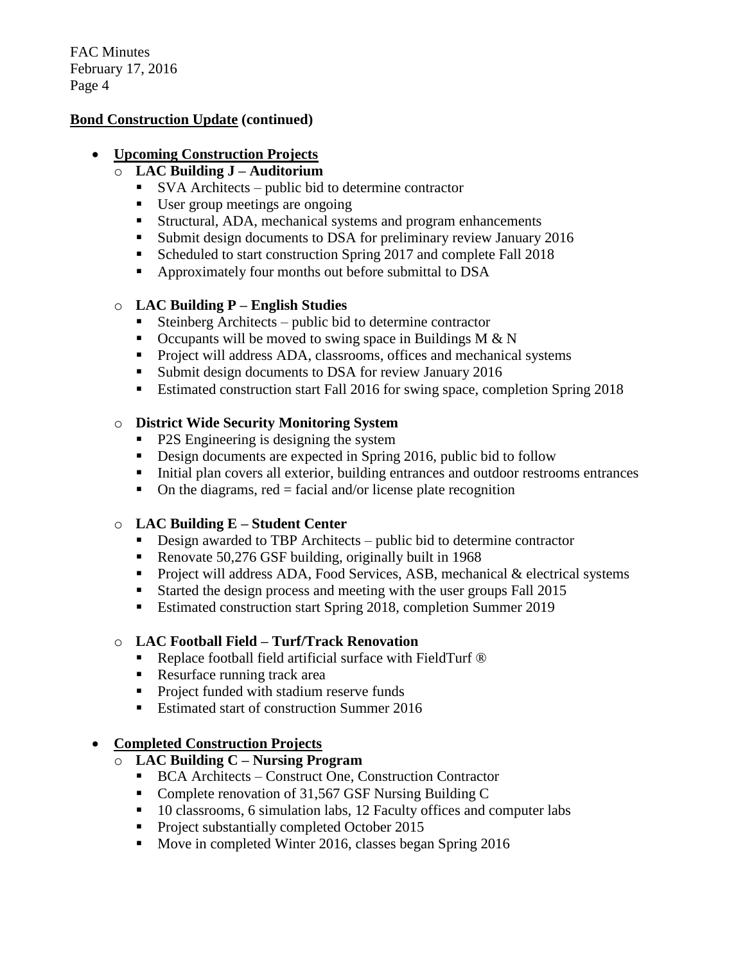#### **Bond Construction Update (continued)**

#### **Upcoming Construction Projects**

### o **LAC Building J – Auditorium**

- SVA Architects public bid to determine contractor
- User group meetings are ongoing
- Structural, ADA, mechanical systems and program enhancements
- Submit design documents to DSA for preliminary review January 2016
- Scheduled to start construction Spring 2017 and complete Fall 2018
- Approximately four months out before submittal to DSA

## o **LAC Building P – English Studies**

- Steinberg Architects public bid to determine contractor
- $\blacksquare$  Occupants will be moved to swing space in Buildings M & N
- **Project will address ADA, classrooms, offices and mechanical systems**
- Submit design documents to DSA for review January 2016
- **Estimated construction start Fall 2016 for swing space, completion Spring 2018**

## o **District Wide Security Monitoring System**

- P2S Engineering is designing the system
- Design documents are expected in Spring 2016, public bid to follow
- Initial plan covers all exterior, building entrances and outdoor restrooms entrances
- $\blacksquare$  On the diagrams, red = facial and/or license plate recognition

## o **LAC Building E – Student Center**

- Design awarded to TBP Architects public bid to determine contractor
- Renovate 50,276 GSF building, originally built in 1968
- Project will address ADA, Food Services, ASB, mechanical  $&$  electrical systems
- Started the design process and meeting with the user groups Fall 2015
- Estimated construction start Spring 2018, completion Summer 2019

## o **LAC Football Field – Turf/Track Renovation**

- Replace football field artificial surface with FieldTurf <sup>®</sup>
- Resurface running track area
- **Project funded with stadium reserve funds**
- **Estimated start of construction Summer 2016**

# **Completed Construction Projects**

# o **LAC Building C – Nursing Program**

- BCA Architects Construct One, Construction Contractor
- Complete renovation of 31,567 GSF Nursing Building C
- 10 classrooms, 6 simulation labs, 12 Faculty offices and computer labs
- Project substantially completed October 2015
- Move in completed Winter 2016, classes began Spring 2016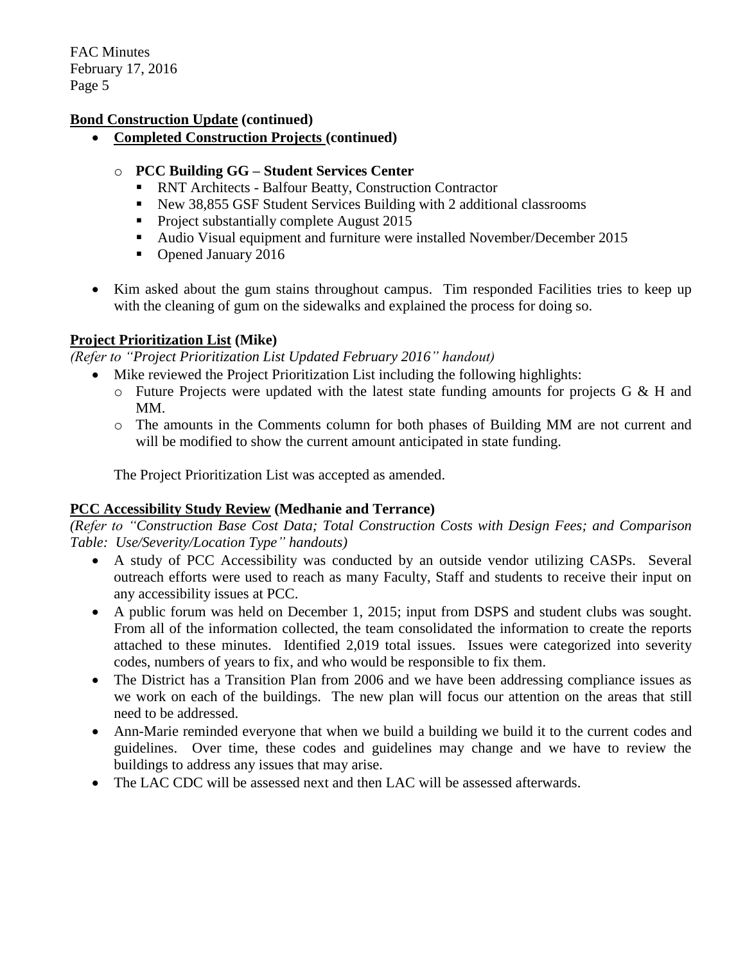### **Bond Construction Update (continued)**

**Completed Construction Projects (continued)**

### o **PCC Building GG – Student Services Center**

- RNT Architects Balfour Beatty, Construction Contractor
- New 38,855 GSF Student Services Building with 2 additional classrooms
- **Project substantially complete August 2015**
- Audio Visual equipment and furniture were installed November/December 2015
- Opened January 2016
- Kim asked about the gum stains throughout campus. Tim responded Facilities tries to keep up with the cleaning of gum on the sidewalks and explained the process for doing so.

#### **Project Prioritization List (Mike)**

*(Refer to "Project Prioritization List Updated February 2016" handout)*

- Mike reviewed the Project Prioritization List including the following highlights:
	- $\circ$  Future Projects were updated with the latest state funding amounts for projects G & H and MM.
	- o The amounts in the Comments column for both phases of Building MM are not current and will be modified to show the current amount anticipated in state funding.

The Project Prioritization List was accepted as amended.

## **PCC Accessibility Study Review (Medhanie and Terrance)**

*(Refer to "Construction Base Cost Data; Total Construction Costs with Design Fees; and Comparison Table: Use/Severity/Location Type" handouts)*

- A study of PCC Accessibility was conducted by an outside vendor utilizing CASPs. Several outreach efforts were used to reach as many Faculty, Staff and students to receive their input on any accessibility issues at PCC.
- A public forum was held on December 1, 2015; input from DSPS and student clubs was sought. From all of the information collected, the team consolidated the information to create the reports attached to these minutes. Identified 2,019 total issues. Issues were categorized into severity codes, numbers of years to fix, and who would be responsible to fix them.
- The District has a Transition Plan from 2006 and we have been addressing compliance issues as we work on each of the buildings. The new plan will focus our attention on the areas that still need to be addressed.
- Ann-Marie reminded everyone that when we build a building we build it to the current codes and guidelines. Over time, these codes and guidelines may change and we have to review the buildings to address any issues that may arise.
- The LAC CDC will be assessed next and then LAC will be assessed afterwards.